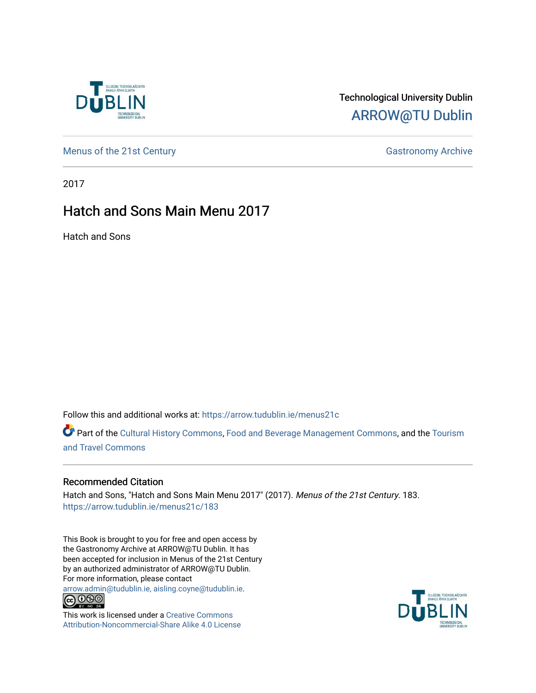

### Technological University Dublin [ARROW@TU Dublin](https://arrow.tudublin.ie/)

[Menus of the 21st Century](https://arrow.tudublin.ie/menus21c) Gastronomy Archive

2017

### Hatch and Sons Main Menu 2017

Hatch and Sons

Follow this and additional works at: [https://arrow.tudublin.ie/menus21c](https://arrow.tudublin.ie/menus21c?utm_source=arrow.tudublin.ie%2Fmenus21c%2F183&utm_medium=PDF&utm_campaign=PDFCoverPages) 

Part of the [Cultural History Commons](http://network.bepress.com/hgg/discipline/496?utm_source=arrow.tudublin.ie%2Fmenus21c%2F183&utm_medium=PDF&utm_campaign=PDFCoverPages), [Food and Beverage Management Commons,](http://network.bepress.com/hgg/discipline/1089?utm_source=arrow.tudublin.ie%2Fmenus21c%2F183&utm_medium=PDF&utm_campaign=PDFCoverPages) and the [Tourism](http://network.bepress.com/hgg/discipline/1082?utm_source=arrow.tudublin.ie%2Fmenus21c%2F183&utm_medium=PDF&utm_campaign=PDFCoverPages) [and Travel Commons](http://network.bepress.com/hgg/discipline/1082?utm_source=arrow.tudublin.ie%2Fmenus21c%2F183&utm_medium=PDF&utm_campaign=PDFCoverPages)

#### Recommended Citation

Hatch and Sons, "Hatch and Sons Main Menu 2017" (2017). Menus of the 21st Century. 183. [https://arrow.tudublin.ie/menus21c/183](https://arrow.tudublin.ie/menus21c/183?utm_source=arrow.tudublin.ie%2Fmenus21c%2F183&utm_medium=PDF&utm_campaign=PDFCoverPages) 

This Book is brought to you for free and open access by the Gastronomy Archive at ARROW@TU Dublin. It has been accepted for inclusion in Menus of the 21st Century by an authorized administrator of ARROW@TU Dublin. For more information, please contact

[arrow.admin@tudublin.ie, aisling.coyne@tudublin.ie](mailto:arrow.admin@tudublin.ie,%20aisling.coyne@tudublin.ie).<br>
co 060



This work is licensed under a [Creative Commons](http://creativecommons.org/licenses/by-nc-sa/4.0/) [Attribution-Noncommercial-Share Alike 4.0 License](http://creativecommons.org/licenses/by-nc-sa/4.0/)

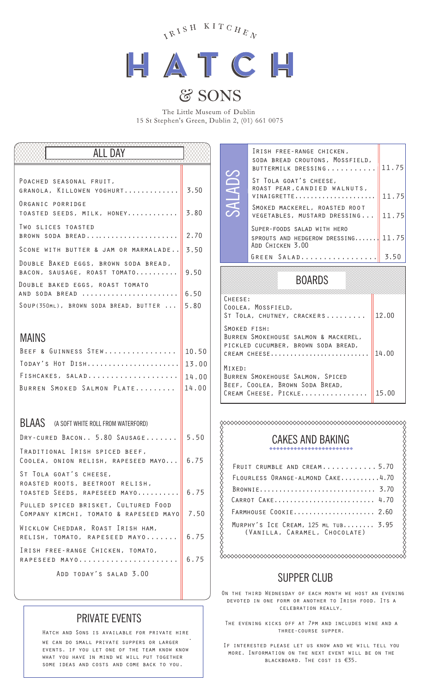



## & SONS

The Little Museum of Dublin 15 St Stephen's Green, Dublin 2, (01) 661 0075

SALADS

| ALL DAY                                                                                    |              |
|--------------------------------------------------------------------------------------------|--------------|
|                                                                                            |              |
| POACHED SEASONAL FRUIT,<br>GRANOLA, KILLOWEN YOGHURT                                       | 3.50         |
| ORGANIC PORRIDGE<br>TOASTED SEEDS, MILK, HONEY                                             | 3,80         |
| TWO SLICES TOASTED<br>BROWN SODA BREAD                                                     | 2,70         |
| SCONE WITH BUTTER & JAM OR MARMALADE 3.50                                                  |              |
| DOUBLE BAKED EGGS, BROWN SODA BREAD,<br>BACON, SAUSAGE, ROAST TOMATO                       | 9.50         |
| DOUBLE BAKED EGGS, ROAST TOMATO<br>AND SODA BREAD<br>SOUP(350ML), BROWN SODA BREAD, BUTTER | 6.50<br>5,80 |
|                                                                                            |              |
| <b>MAINS</b>                                                                               |              |
| BEEF & GUINNESS STEW                                                                       | 10.50        |
|                                                                                            |              |
| FISHCAKES, SALAD                                                                           | 14,00        |
| BURREN SMOKED SALMON PLATE                                                                 | 14,00        |
|                                                                                            |              |
| BLAAS (A SOFT WHITE ROLL FROM WATERFORD)                                                   |              |
| DRY-CURED BACON 5.80 SAUSAGE                                                               | 5.50         |
| TRADITIONAL IRISH SPICED BEEF.<br>COOLEA, ONION RELISH, RAPESEED MAYO $\ $ 6.75            |              |
| ST TOLA GOAT'S CHEESE,<br>ROASTED ROOTS, BEETROOT RELISH,<br>TOASTED SEEDS, RAPESEED MAYO  | 6.75         |
| PULLED SPICED BRISKET, CULTURED FOOD<br>COMPANY KIMCHI, TOMATO & RAPESEED MAYO             | 7.50         |
| WICKLOW CHEDDAR, ROAST IRISH HAM,<br>RELISH, TOMATO, RAPESEED MAYO                         | 6,75         |
| IRISH FREE-RANGE CHICKEN, TOMATO,<br>RAPESEED MAYO                                         | 6.75         |
| ADD TODAY'S SALAD 3.00                                                                     |              |

### PRIVATE EVENTS

Hatch and Sons is available for private hire . we can do small private suppers or larger events. if you let one of the team know know what you have in mind we will put together some ideas and costs and come back to you.

| IRISH FREE-RANGE CHICKEN.<br>SODA BREAD CROUTONS, MOSSFIELD,<br>BUTTERMILK DRESSING    | 11.75 |
|----------------------------------------------------------------------------------------|-------|
| ST TOLA GOAT'S CHEESE.<br>ROAST PEAR, CANDIED WALNUTS,<br>VINAIGRETTE                  | 11.75 |
| SMOKED MACKEREL, ROASTED ROOT<br>VEGETABLES, MUSTARD DRESSING                          | 11.75 |
| SUPER-FOODS SALAD WITH HERO<br>SPROUTS AND HEDGEROW DRESSING 11.75<br>ADD CHICKEN 3.00 |       |
| GREEN SALAD                                                                            | 3.50  |

### BOARDS

| CHEESE:<br>COOLEA, MOSSFIELD,<br>ST TOLA, CHUTNEY, CRACKERS                                                 | 12,00 |
|-------------------------------------------------------------------------------------------------------------|-------|
| SMOKED FISH:<br>BURREN SMOKEHOUSE SALMON & MACKEREL,<br>PICKLED CUCUMBER, BROWN SODA BREAD,<br>CREAM CHEESE | 14.00 |
| MIXED:<br>BURREN SMOKEHOUSE SALMON, SPICED<br>BEEF, COOLEA, BROWN SODA BREAD,<br>CREAM CHEESE, PICKLE       | 15.00 |

### CAKES AND BAKING

| FRUIT CRUMBLE AND CREAM5.70                                          |
|----------------------------------------------------------------------|
| FLOURLESS ORANGE-ALMOND CAKE4.70                                     |
| BROWNIE 3.70                                                         |
| CARROT CAKE 4.70                                                     |
| FARMHOUSE COOKIE 2.60                                                |
| MURPHY'S ICE CREAM, 125 ML TUB 3.95<br>(VANILLA, CARAMEL, CHOCOLATE) |

### SUPPER CLUB

On the third Wednesday of each month we host an evening devoted in one form or another to Irish food. Its a celebration really,

The evening kicks off at 7pm and includes wine and a three-course supper.

If interested please let us know and we will tell you more. Information on the next event will be on the blackboard. The cost is €35.